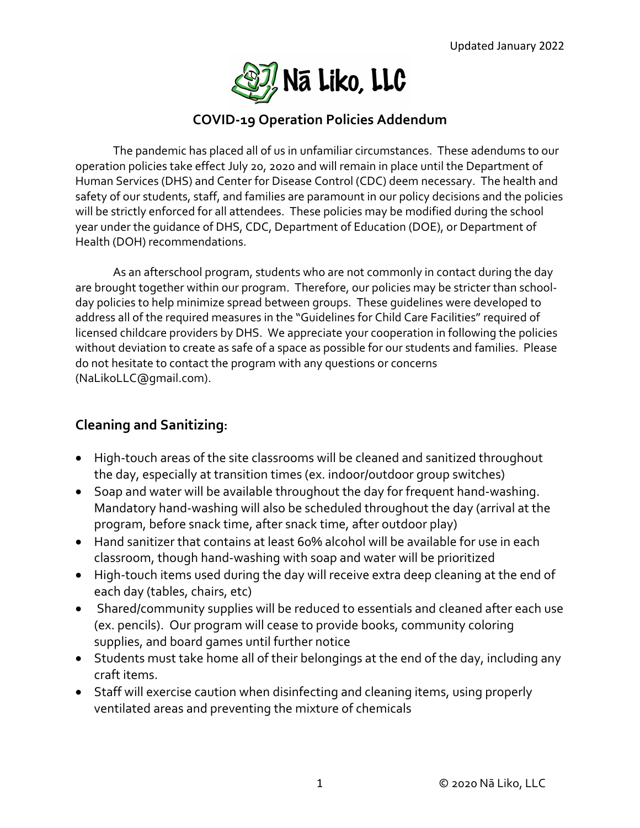

# **COVID-19 Operation Policies Addendum**

The pandemic has placed all of us in unfamiliar circumstances. These adendums to our operation policies take effect July 20, 2020 and will remain in place until the Department of Human Services (DHS) and Center for Disease Control (CDC) deem necessary. The health and safety of our students, staff, and families are paramount in our policy decisions and the policies will be strictly enforced for all attendees. These policies may be modified during the school year under the guidance of DHS, CDC, Department of Education (DOE), or Department of Health (DOH) recommendations.

As an afterschool program, students who are not commonly in contact during the day are brought together within our program. Therefore, our policies may be stricter than schoolday policies to help minimize spread between groups. These guidelines were developed to address all of the required measures in the "Guidelines for Child Care Facilities" required of licensed childcare providers by DHS. We appreciate your cooperation in following the policies without deviation to create as safe of a space as possible for our students and families. Please do not hesitate to contact the program with any questions or concerns (NaLikoLLC@gmail.com).

# **Cleaning and Sanitizing:**

- High-touch areas of the site classrooms will be cleaned and sanitized throughout the day, especially at transition times (ex. indoor/outdoor group switches)
- Soap and water will be available throughout the day for frequent hand-washing. Mandatory hand-washing will also be scheduled throughout the day (arrival at the program, before snack time, after snack time, after outdoor play)
- Hand sanitizer that contains at least 60% alcohol will be available for use in each classroom, though hand-washing with soap and water will be prioritized
- High-touch items used during the day will receive extra deep cleaning at the end of each day (tables, chairs, etc)
- Shared/community supplies will be reduced to essentials and cleaned after each use (ex. pencils). Our program will cease to provide books, community coloring supplies, and board games until further notice
- Students must take home all of their belongings at the end of the day, including any craft items.
- Staff will exercise caution when disinfecting and cleaning items, using properly ventilated areas and preventing the mixture of chemicals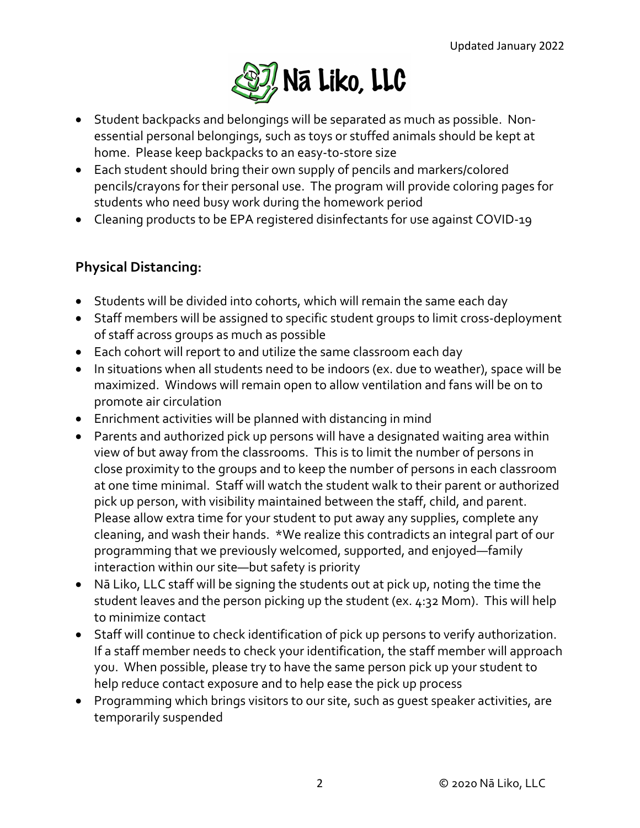

- Student backpacks and belongings will be separated as much as possible. Nonessential personal belongings, such as toys or stuffed animals should be kept at home. Please keep backpacks to an easy-to-store size
- Each student should bring their own supply of pencils and markers/colored pencils/crayons for their personal use. The program will provide coloring pages for students who need busy work during the homework period
- Cleaning products to be EPA registered disinfectants for use against COVID-19

### **Physical Distancing:**

- Students will be divided into cohorts, which will remain the same each day
- Staff members will be assigned to specific student groups to limit cross-deployment of staff across groups as much as possible
- Each cohort will report to and utilize the same classroom each day
- In situations when all students need to be indoors (ex. due to weather), space will be maximized. Windows will remain open to allow ventilation and fans will be on to promote air circulation
- Enrichment activities will be planned with distancing in mind
- Parents and authorized pick up persons will have a designated waiting area within view of but away from the classrooms. This is to limit the number of persons in close proximity to the groups and to keep the number of persons in each classroom at one time minimal. Staff will watch the student walk to their parent or authorized pick up person, with visibility maintained between the staff, child, and parent. Please allow extra time for your student to put away any supplies, complete any cleaning, and wash their hands. \*We realize this contradicts an integral part of our programming that we previously welcomed, supported, and enjoyed—family interaction within our site—but safety is priority
- Nā Liko, LLC staff will be signing the students out at pick up, noting the time the student leaves and the person picking up the student (ex. 4:32 Mom). This will help to minimize contact
- Staff will continue to check identification of pick up persons to verify authorization. If a staff member needs to check your identification, the staff member will approach you. When possible, please try to have the same person pick up your student to help reduce contact exposure and to help ease the pick up process
- Programming which brings visitors to our site, such as guest speaker activities, are temporarily suspended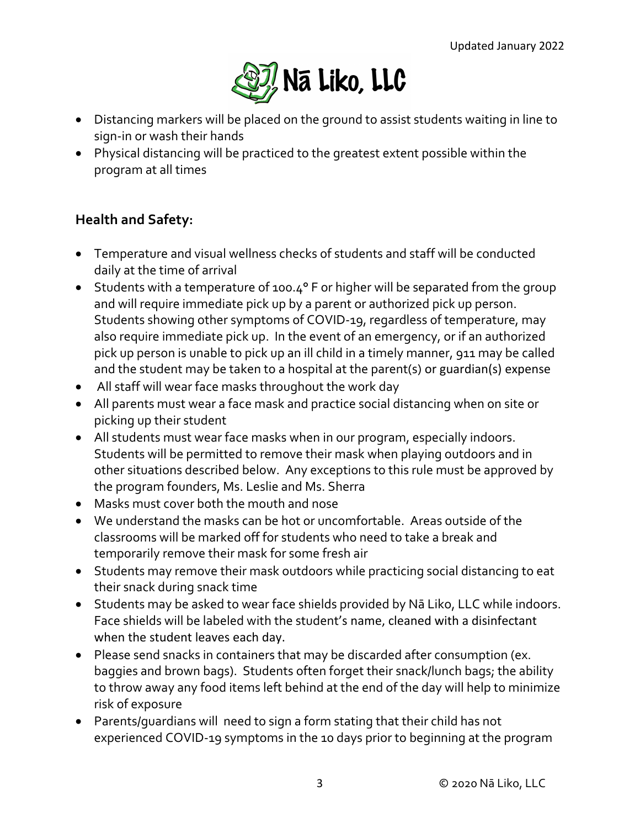

- Distancing markers will be placed on the ground to assist students waiting in line to sign-in or wash their hands
- Physical distancing will be practiced to the greatest extent possible within the program at all times

# **Health and Safety:**

- Temperature and visual wellness checks of students and staff will be conducted daily at the time of arrival
- Students with a temperature of 100.4° F or higher will be separated from the group and will require immediate pick up by a parent or authorized pick up person. Students showing other symptoms of COVID-19, regardless of temperature, may also require immediate pick up. In the event of an emergency, or if an authorized pick up person is unable to pick up an ill child in a timely manner, 911 may be called and the student may be taken to a hospital at the parent(s) or guardian(s) expense
- All staff will wear face masks throughout the work day
- All parents must wear a face mask and practice social distancing when on site or picking up their student
- All students must wear face masks when in our program, especially indoors. Students will be permitted to remove their mask when playing outdoors and in other situations described below. Any exceptions to this rule must be approved by the program founders, Ms. Leslie and Ms. Sherra
- Masks must cover both the mouth and nose
- We understand the masks can be hot or uncomfortable. Areas outside of the classrooms will be marked off for students who need to take a break and temporarily remove their mask for some fresh air
- Students may remove their mask outdoors while practicing social distancing to eat their snack during snack time
- Students may be asked to wear face shields provided by Nā Liko, LLC while indoors. Face shields will be labeled with the student's name, cleaned with a disinfectant when the student leaves each day.
- Please send snacks in containers that may be discarded after consumption (ex. baggies and brown bags). Students often forget their snack/lunch bags; the ability to throw away any food items left behind at the end of the day will help to minimize risk of exposure
- Parents/guardians will need to sign a form stating that their child has not experienced COVID-19 symptoms in the 10 days prior to beginning at the program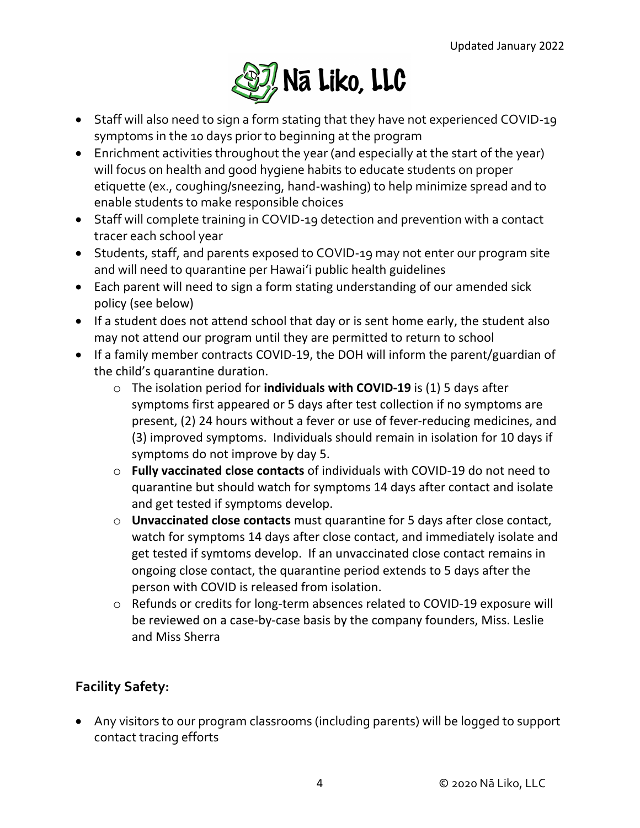

- Staff will also need to sign a form stating that they have not experienced COVID-19 symptoms in the 10 days prior to beginning at the program
- Enrichment activities throughout the year (and especially at the start of the year) will focus on health and good hygiene habits to educate students on proper etiquette (ex., coughing/sneezing, hand-washing) to help minimize spread and to enable students to make responsible choices
- Staff will complete training in COVID-19 detection and prevention with a contact tracer each school year
- Students, staff, and parents exposed to COVID-19 may not enter our program site and will need to quarantine per Hawai'i public health guidelines
- Each parent will need to sign a form stating understanding of our amended sick policy (see below)
- If a student does not attend school that day or is sent home early, the student also may not attend our program until they are permitted to return to school
- If a family member contracts COVID-19, the DOH will inform the parent/guardian of the child's quarantine duration.
	- $\circ$  The isolation period for **individuals with COVID-19** is (1) 5 days after symptoms first appeared or 5 days after test collection if no symptoms are present, (2) 24 hours without a fever or use of fever-reducing medicines, and (3) improved symptoms. Individuals should remain in isolation for 10 days if symptoms do not improve by day 5.
	- o **Fully vaccinated close contacts** of individuals with COVID-19 do not need to quarantine but should watch for symptoms 14 days after contact and isolate and get tested if symptoms develop.
	- o **Unvaccinated close contacts** must quarantine for 5 days after close contact, watch for symptoms 14 days after close contact, and immediately isolate and get tested if symtoms develop. If an unvaccinated close contact remains in ongoing close contact, the quarantine period extends to 5 days after the person with COVID is released from isolation.
	- o Refunds or credits for long-term absences related to COVID-19 exposure will be reviewed on a case-by-case basis by the company founders, Miss. Leslie and Miss Sherra

# **Facility Safety:**

• Any visitors to our program classrooms (including parents) will be logged to support contact tracing efforts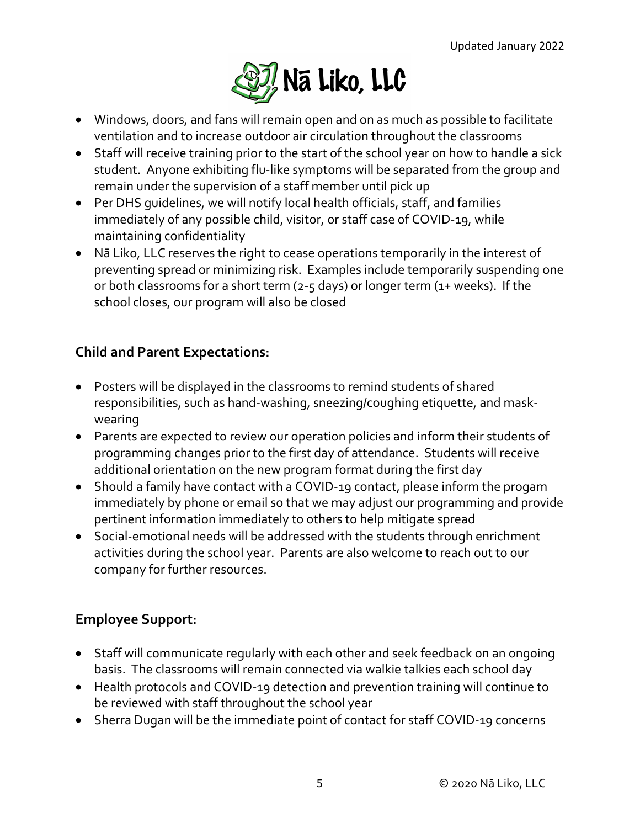

- Windows, doors, and fans will remain open and on as much as possible to facilitate ventilation and to increase outdoor air circulation throughout the classrooms
- Staff will receive training prior to the start of the school year on how to handle a sick student. Anyone exhibiting flu-like symptoms will be separated from the group and remain under the supervision of a staff member until pick up
- Per DHS guidelines, we will notify local health officials, staff, and families immediately of any possible child, visitor, or staff case of COVID-19, while maintaining confidentiality
- Nā Liko, LLC reserves the right to cease operations temporarily in the interest of preventing spread or minimizing risk. Examples include temporarily suspending one or both classrooms for a short term (2-5 days) or longer term (1+ weeks). If the school closes, our program will also be closed

# **Child and Parent Expectations:**

- Posters will be displayed in the classrooms to remind students of shared responsibilities, such as hand-washing, sneezing/coughing etiquette, and maskwearing
- Parents are expected to review our operation policies and inform their students of programming changes prior to the first day of attendance. Students will receive additional orientation on the new program format during the first day
- Should a family have contact with a COVID-19 contact, please inform the progam immediately by phone or email so that we may adjust our programming and provide pertinent information immediately to others to help mitigate spread
- Social-emotional needs will be addressed with the students through enrichment activities during the school year. Parents are also welcome to reach out to our company for further resources.

# **Employee Support:**

- Staff will communicate regularly with each other and seek feedback on an ongoing basis. The classrooms will remain connected via walkie talkies each school day
- Health protocols and COVID-19 detection and prevention training will continue to be reviewed with staff throughout the school year
- Sherra Dugan will be the immediate point of contact for staff COVID-19 concerns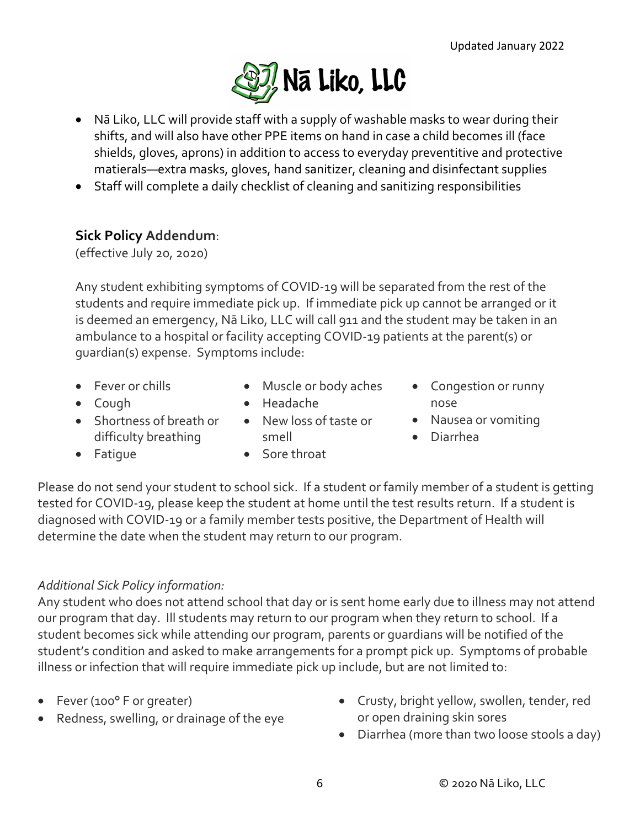

- Nā Liko, LLC will provide staff with a supply of washable masks to wear during their shifts, and will also have other PPE items on hand in case a child becomes ill (face shields, gloves, aprons) in addition to access to everyday preventitive and protective matierals—extra masks, gloves, hand sanitizer, cleaning and disinfectant supplies
- Staff will complete a daily checklist of cleaning and sanitizing responsibilities

# **Sick Policy Addendum**:

(effective July 20, 2020)

Any student exhibiting symptoms of COVID-19 will be separated from the rest of the students and require immediate pick up. If immediate pick up cannot be arranged or it is deemed an emergency, Nā Liko, LLC will call 911 and the student may be taken in an ambulance to a hospital or facility accepting COVID-19 patients at the parent(s) or guardian(s) expense. Symptoms include:

- Fever or chills
- Cough
- Muscle or body aches • Headache
- Shortness of breath or difficulty breathing
- New loss of taste or smell
- Congestion or runny nose
- Nausea or vomiting
- Diarrhea

• Fatigue

• Sore throat

Please do not send your student to school sick. If a student or family member of a student is getting tested for COVID-19, please keep the student at home until the test results return. If a student is diagnosed with COVID-19 or a family member tests positive, the Department of Health will determine the date when the student may return to our program.

### *Additional Sick Policy information:*

Any student who does not attend school that day or is sent home early due to illness may not attend our program that day. Ill students may return to our program when they return to school. If a student becomes sick while attending our program, parents or guardians will be notified of the student's condition and asked to make arrangements for a prompt pick up. Symptoms of probable illness or infection that will require immediate pick up include, but are not limited to:

- Fever (100°F or greater)
- Redness, swelling, or drainage of the eye
- Crusty, bright yellow, swollen, tender, red or open draining skin sores
- Diarrhea (more than two loose stools a day)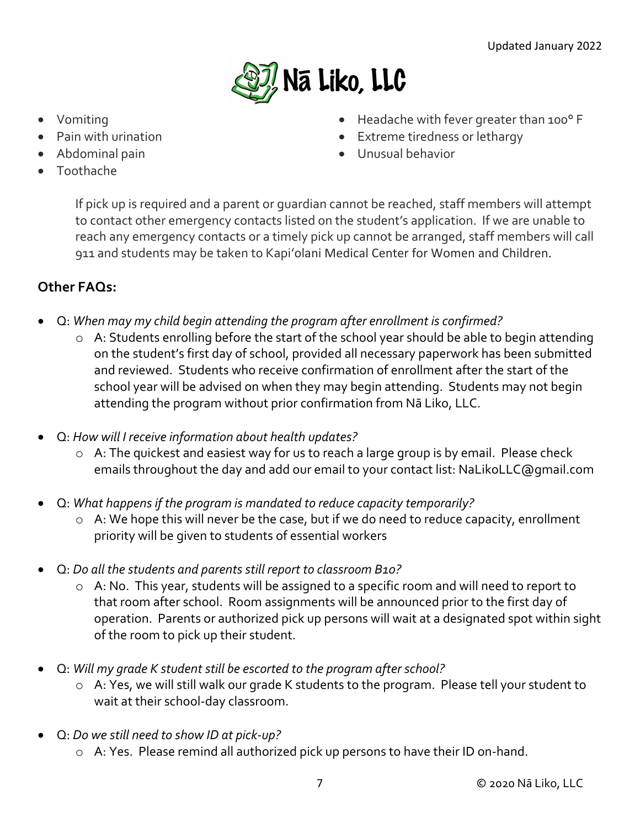

- Vomiting
- Pain with urination
- Abdominal pain
- Toothache
- Headache with fever greater than 100° F
- Extreme tiredness or lethargy
- Unusual behavior

If pick up is required and a parent or guardian cannot be reached, staff members will attempt to contact other emergency contacts listed on the student's application. If we are unable to reach any emergency contacts or a timely pick up cannot be arranged, staff members will call 911 and students may be taken to Kapi'olani Medical Center for Women and Children.

### **Other FAQs:**

- Q: *When may my child begin attending the program after enrollment is confirmed?*
	- o A: Students enrolling before the start of the school year should be able to begin attending on the student's first day of school, provided all necessary paperwork has been submitted and reviewed. Students who receive confirmation of enrollment after the start of the school year will be advised on when they may begin attending. Students may not begin attending the program without prior confirmation from Nā Liko, LLC.
- Q: *How will I receive information about health updates?*
	- o A: The quickest and easiest way for us to reach a large group is by email. Please check emails throughout the day and add our email to your contact list: NaLikoLLC@gmail.com
- Q: *What happens if the program is mandated to reduce capacity temporarily?*
	- o A: We hope this will never be the case, but if we do need to reduce capacity, enrollment priority will be given to students of essential workers
- Q: *Do all the students and parents still report to classroom B10?*
	- o A: No. This year, students will be assigned to a specific room and will need to report to that room after school. Room assignments will be announced prior to the first day of operation. Parents or authorized pick up persons will wait at a designated spot within sight of the room to pick up their student.
- Q: *Will my grade K student still be escorted to the program after school?*
	- o A: Yes, we will still walk our grade K students to the program. Please tell your student to wait at their school-day classroom.
- Q: *Do we still need to show ID at pick-up?*
	- o A: Yes. Please remind all authorized pick up persons to have their ID on-hand.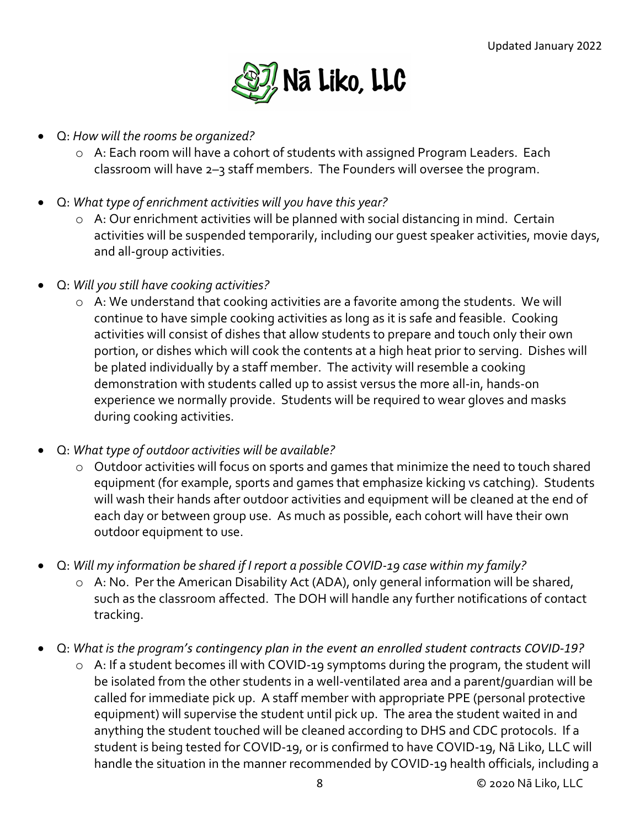

- Q: *How will the rooms be organized?*
	- o A: Each room will have a cohort of students with assigned Program Leaders. Each classroom will have 2–3 staff members. The Founders will oversee the program.
- Q: *What type of enrichment activities will you have this year?*
	- o A: Our enrichment activities will be planned with social distancing in mind. Certain activities will be suspended temporarily, including our guest speaker activities, movie days, and all-group activities.
- Q: *Will you still have cooking activities?*
	- o A: We understand that cooking activities are a favorite among the students. We will continue to have simple cooking activities as long as it is safe and feasible. Cooking activities will consist of dishes that allow students to prepare and touch only their own portion, or dishes which will cook the contents at a high heat prior to serving. Dishes will be plated individually by a staff member. The activity will resemble a cooking demonstration with students called up to assist versus the more all-in, hands-on experience we normally provide. Students will be required to wear gloves and masks during cooking activities.
- Q: *What type of outdoor activities will be available?*
	- o Outdoor activities will focus on sports and games that minimize the need to touch shared equipment (for example, sports and games that emphasize kicking vs catching). Students will wash their hands after outdoor activities and equipment will be cleaned at the end of each day or between group use. As much as possible, each cohort will have their own outdoor equipment to use.
- Q: *Will my information be shared if I report a possible COVID-19 case within my family?*
	- o A: No. Per the American Disability Act (ADA), only general information will be shared, such as the classroom affected. The DOH will handle any further notifications of contact tracking.
- Q: *What is the program's contingency plan in the event an enrolled student contracts COVID-19?*
	- o A: If a student becomes ill with COVID-19 symptoms during the program, the student will be isolated from the other students in a well-ventilated area and a parent/guardian will be called for immediate pick up. A staff member with appropriate PPE (personal protective equipment) will supervise the student until pick up. The area the student waited in and anything the student touched will be cleaned according to DHS and CDC protocols. If a student is being tested for COVID-19, or is confirmed to have COVID-19, Nā Liko, LLC will handle the situation in the manner recommended by COVID-19 health officials, including a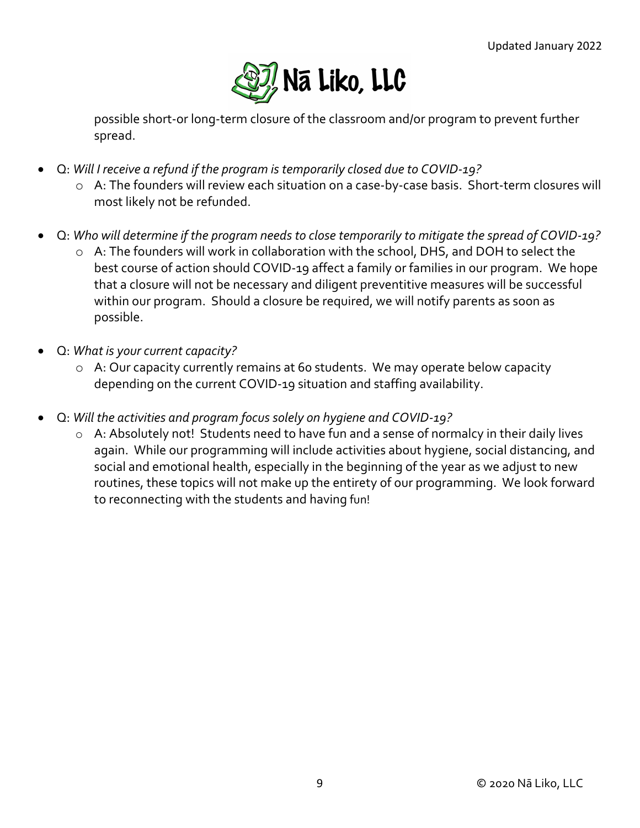

possible short-or long-term closure of the classroom and/or program to prevent further spread.

- Q: *Will I receive a refund if the program is temporarily closed due to COVID-19?*
	- o A: The founders will review each situation on a case-by-case basis. Short-term closures will most likely not be refunded.
- Q: *Who will determine if the program needs to close temporarily to mitigate the spread of COVID-19?*
	- o A: The founders will work in collaboration with the school, DHS, and DOH to select the best course of action should COVID-19 affect a family or families in our program. We hope that a closure will not be necessary and diligent preventitive measures will be successful within our program. Should a closure be required, we will notify parents as soon as possible.
- Q: *What is your current capacity?*
	- o A: Our capacity currently remains at 60 students. We may operate below capacity depending on the current COVID-19 situation and staffing availability.
- Q: *Will the activities and program focus solely on hygiene and COVID-19?*
	- o A: Absolutely not! Students need to have fun and a sense of normalcy in their daily lives again. While our programming will include activities about hygiene, social distancing, and social and emotional health, especially in the beginning of the year as we adjust to new routines, these topics will not make up the entirety of our programming. We look forward to reconnecting with the students and having fun!